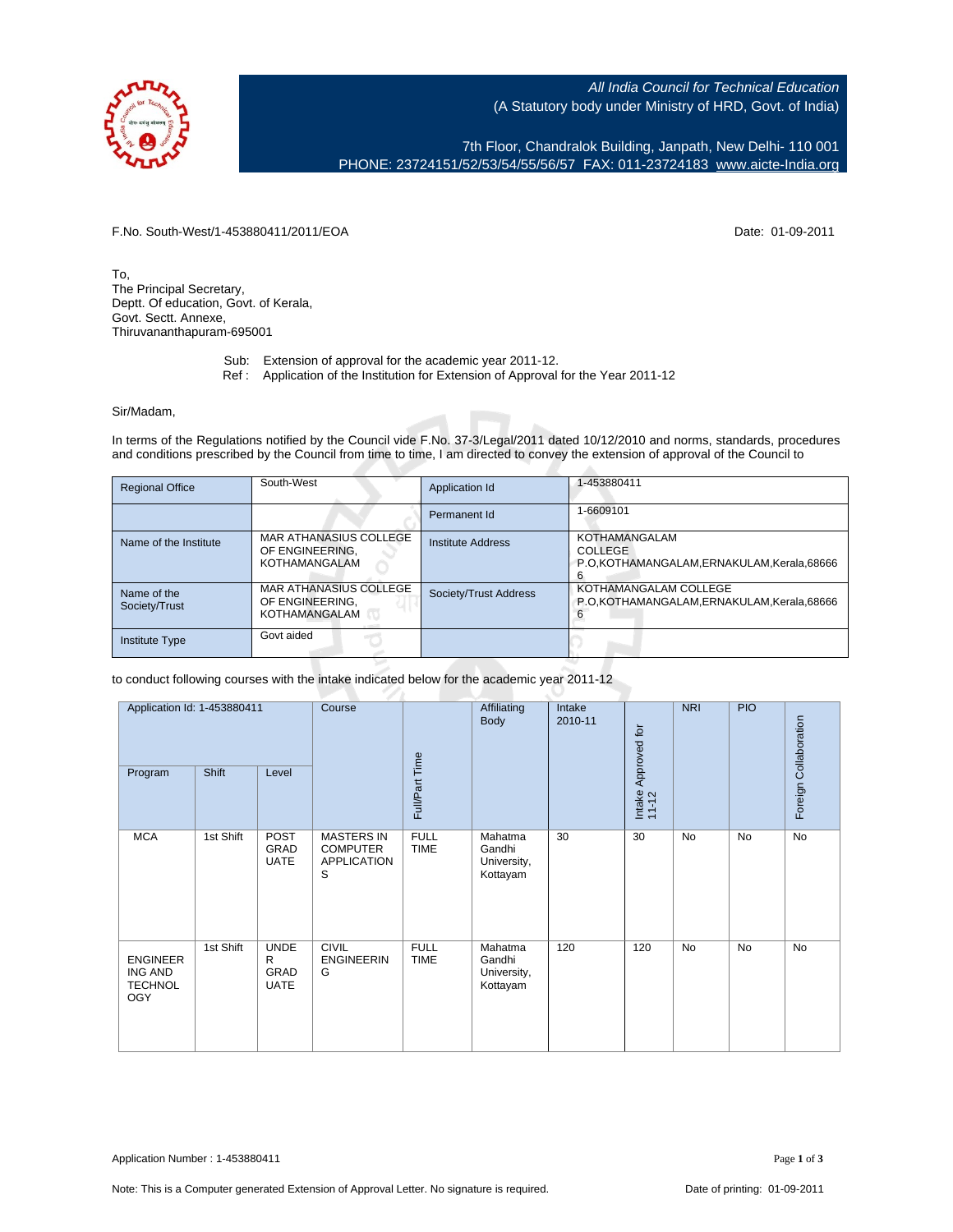

All India Council for Technical Education (A Statutory body under Ministry of HRD, Govt. of India)

7th Floor, Chandralok Building, Janpath, New Delhi- 110 001 PHONE: 23724151/52/53/54/55/56/57 FAX: 011-23724183 [www.aicte-India.org](http://www.aicte-India.org)

F.No. South-West/1-453880411/2011/EOA Date: 01-09-2011

To, The Principal Secretary, Deptt. Of education, Govt. of Kerala, Govt. Sectt. Annexe, Thiruvananthapuram-695001

- Sub: Extension of approval for the academic year 2011-12.
- Ref : Application of the Institution for Extension of Approval for the Year 2011-12

## Sir/Madam,

In terms of the Regulations notified by the Council vide F.No. 37-3/Legal/2011 dated 10/12/2010 and norms, standards, procedures and conditions prescribed by the Council from time to time, I am directed to convey the extension of approval of the Council to

| <b>Regional Office</b>       | South-West                                                        | Application Id           | 1-453880411                                                                                |
|------------------------------|-------------------------------------------------------------------|--------------------------|--------------------------------------------------------------------------------------------|
|                              |                                                                   | Permanent Id             | 1-6609101                                                                                  |
| Name of the Institute        | MAR ATHANASIUS COLLEGE<br>OF ENGINEERING.<br>KOTHAMANGALAM        | <b>Institute Address</b> | <b>KOTHAMANGALAM</b><br><b>COLLEGE</b><br>P.O.KOTHAMANGALAM, ERNAKULAM, Kerala, 68666<br>6 |
| Name of the<br>Society/Trust | <b>MAR ATHANASIUS COLLEGE</b><br>OF ENGINEERING.<br>KOTHAMANGALAM | Society/Trust Address    | KOTHAMANGALAM COLLEGE<br>P.O.KOTHAMANGALAM, ERNAKULAM, Kerala, 68666                       |
| <b>Institute Type</b>        | Govt aided                                                        |                          |                                                                                            |

## to conduct following courses with the intake indicated below for the academic year 2011-12

| Application Id: 1-453880411<br>Shift<br>Program<br>Level          |           | Course                                         | Full/Part Time                                                  | Affiliating<br>Body        | Intake<br>2010-11                            | Intake Approved for<br>11-12 | <b>NRI</b> | <b>PIO</b> | Foreign Collaboration |           |
|-------------------------------------------------------------------|-----------|------------------------------------------------|-----------------------------------------------------------------|----------------------------|----------------------------------------------|------------------------------|------------|------------|-----------------------|-----------|
| <b>MCA</b>                                                        | 1st Shift | <b>POST</b><br>GRAD<br><b>UATE</b>             | <b>MASTERS IN</b><br><b>COMPUTER</b><br><b>APPLICATION</b><br>S | <b>FULL</b><br><b>TIME</b> | Mahatma<br>Gandhi<br>University,<br>Kottayam | 30                           | 30         | <b>No</b>  | <b>No</b>             | No        |
| <b>ENGINEER</b><br><b>ING AND</b><br><b>TECHNOL</b><br><b>OGY</b> | 1st Shift | <b>UNDE</b><br>R<br><b>GRAD</b><br><b>UATE</b> | <b>CIVIL</b><br><b>ENGINEERIN</b><br>G                          | <b>FULL</b><br><b>TIME</b> | Mahatma<br>Gandhi<br>University,<br>Kottayam | 120                          | 120        | <b>No</b>  | <b>No</b>             | <b>No</b> |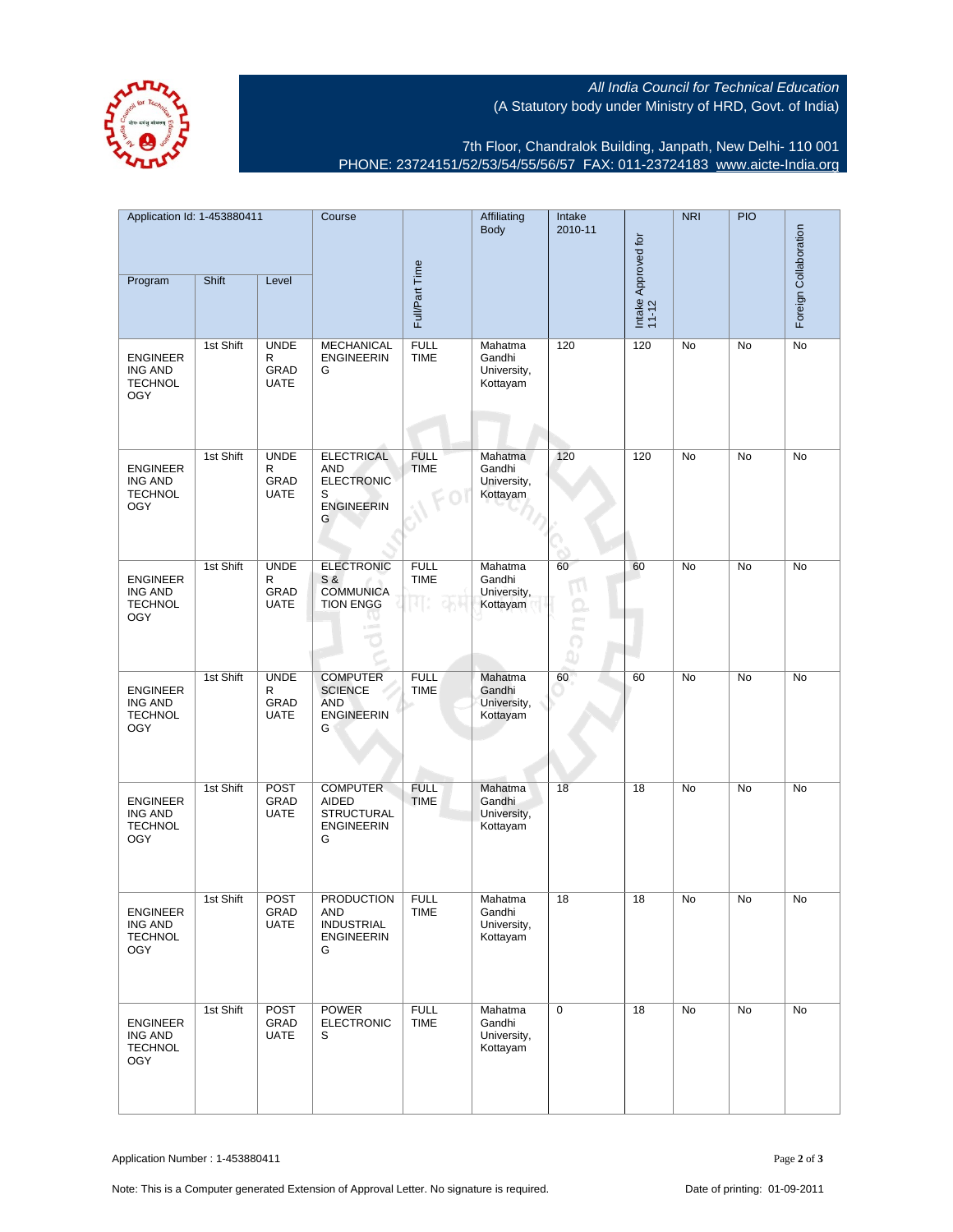All India Council for Technical Education (A Statutory body under Ministry of HRD, Govt. of India)



7th Floor, Chandralok Building, Janpath, New Delhi- 110 001 PHONE: 23724151/52/53/54/55/56/57 FAX: 011-23724183 [www.aicte-India.org](http://www.aicte-India.org)

| Application Id: 1-453880411                                       |           | Course                                         |                                                                                     | Affiliating<br>Body               | Intake<br>2010-11                            |                                | <b>NRI</b>                   | <b>PIO</b> | Foreign Collaboration |           |
|-------------------------------------------------------------------|-----------|------------------------------------------------|-------------------------------------------------------------------------------------|-----------------------------------|----------------------------------------------|--------------------------------|------------------------------|------------|-----------------------|-----------|
| Program                                                           | Shift     | Level                                          |                                                                                     | Full/Part Time                    |                                              |                                | Intake Approved for<br>11-12 |            |                       |           |
| <b>ENGINEER</b><br>ING AND<br><b>TECHNOL</b><br><b>OGY</b>        | 1st Shift | <b>UNDE</b><br>R<br>GRAD<br><b>UATE</b>        | <b>MECHANICAL</b><br><b>ENGINEERIN</b><br>G                                         | <b>FULL</b><br><b>TIME</b>        | Mahatma<br>Gandhi<br>University,<br>Kottayam | 120                            | 120                          | No         | No                    | No        |
| <b>ENGINEER</b><br><b>ING AND</b><br><b>TECHNOL</b><br><b>OGY</b> | 1st Shift | <b>UNDE</b><br>R<br><b>GRAD</b><br><b>UATE</b> | <b>ELECTRICAL</b><br><b>AND</b><br><b>ELECTRONIC</b><br>S<br><b>ENGINEERIN</b><br>G | <b>FULL</b><br><b>TIME</b>        | Mahatma<br>Gandhi<br>University,<br>Kottayam | 120                            | 120                          | No         | No                    | No        |
| <b>ENGINEER</b><br><b>ING AND</b><br><b>TECHNOL</b><br><b>OGY</b> | 1st Shift | <b>UNDE</b><br>R<br>GRAD<br><b>UATE</b>        | <b>ELECTRONIC</b><br>S &<br><b>COMMUNICA</b><br><b>TION ENGG</b>                    | <b>FULL</b><br><b>TIME</b><br>Jh≑ | Mahatma<br>Gandhi<br>University,<br>Kottayam | 60<br>$\overline{1}$<br>Ċ<br>ω | 60                           | No         | No                    | No        |
| <b>ENGINEER</b><br><b>ING AND</b><br><b>TECHNOL</b><br><b>OGY</b> | 1st Shift | <b>UNDE</b><br>R<br>GRAD<br><b>UATE</b>        | <b>COMPUTER</b><br><b>SCIENCE</b><br><b>AND</b><br><b>ENGINEERIN</b><br>G           | <b>FULL</b><br><b>TIME</b>        | Mahatma<br>Gandhi<br>University,<br>Kottayam | 60                             | 60                           | No         | <b>No</b>             | <b>No</b> |
| <b>ENGINEER</b><br><b>ING AND</b><br><b>TECHNOL</b><br><b>OGY</b> | 1st Shift | <b>POST</b><br>GRAD<br><b>UATE</b>             | <b>COMPUTER</b><br>AIDED<br><b>STRUCTURAL</b><br><b>ENGINEERIN</b><br>G             | <b>FULL</b><br><b>TIME</b>        | Mahatma<br>Gandhi<br>University,<br>Kottayam | 18                             | 18                           | No         | No                    | No        |
| ENGINEER<br>ING AND<br><b>TECHNOL</b><br><b>OGY</b>               | 1st Shift | <b>POST</b><br>GRAD<br><b>UATE</b>             | <b>PRODUCTION</b><br>AND<br><b>INDUSTRIAL</b><br><b>ENGINEERIN</b><br>G             | <b>FULL</b><br>TIME               | Mahatma<br>Gandhi<br>University,<br>Kottayam | 18                             | 18                           | No         | No                    | No        |
| <b>ENGINEER</b><br>ING AND<br><b>TECHNOL</b><br><b>OGY</b>        | 1st Shift | POST<br>GRAD<br><b>UATE</b>                    | <b>POWER</b><br><b>ELECTRONIC</b><br>S                                              | <b>FULL</b><br><b>TIME</b>        | Mahatma<br>Gandhi<br>University,<br>Kottayam | 0                              | 18                           | No         | No                    | No        |